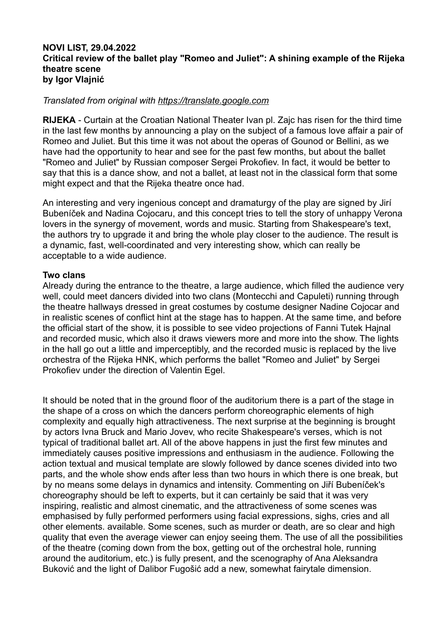### **NOVI LIST, 29.04.2022 Critical review of the ballet play "Romeo and Juliet": A shining example of the Rijeka theatre scene by Igor Vlajnić**

### *Translated from original with https://translate.google.com*

**RIJEKA** - Curtain at the Croatian National Theater Ivan pl. Zajc has risen for the third time in the last few months by announcing a play on the subject of a famous love affair a pair of Romeo and Juliet. But this time it was not about the operas of Gounod or Bellini, as we have had the opportunity to hear and see for the past few months, but about the ballet "Romeo and Juliet" by Russian composer Sergei Prokofiev. In fact, it would be better to say that this is a dance show, and not a ballet, at least not in the classical form that some might expect and that the Rijeka theatre once had.

An interesting and very ingenious concept and dramaturgy of the play are signed by Jirí Bubeníček and Nadina Cojocaru, and this concept tries to tell the story of unhappy Verona lovers in the synergy of movement, words and music. Starting from Shakespeare's text, the authors try to upgrade it and bring the whole play closer to the audience. The result is a dynamic, fast, well-coordinated and very interesting show, which can really be acceptable to a wide audience.

#### **Two clans**

Already during the entrance to the theatre, a large audience, which filled the audience very well, could meet dancers divided into two clans (Montecchi and Capuleti) running through the theatre hallways dressed in great costumes by costume designer Nadine Cojocar and in realistic scenes of conflict hint at the stage has to happen. At the same time, and before the official start of the show, it is possible to see video projections of Fanni Tutek Hajnal and recorded music, which also it draws viewers more and more into the show. The lights in the hall go out a little and imperceptibly, and the recorded music is replaced by the live orchestra of the Rijeka HNK, which performs the ballet "Romeo and Juliet" by Sergei Prokofiev under the direction of Valentin Egel.

It should be noted that in the ground floor of the auditorium there is a part of the stage in the shape of a cross on which the dancers perform choreographic elements of high complexity and equally high attractiveness. The next surprise at the beginning is brought by actors Ivna Bruck and Mario Jovev, who recite Shakespeare's verses, which is not typical of traditional ballet art. All of the above happens in just the first few minutes and immediately causes positive impressions and enthusiasm in the audience. Following the action textual and musical template are slowly followed by dance scenes divided into two parts, and the whole show ends after less than two hours in which there is one break, but by no means some delays in dynamics and intensity. Commenting on Jiří Bubeníček's choreography should be left to experts, but it can certainly be said that it was very inspiring, realistic and almost cinematic, and the attractiveness of some scenes was emphasised by fully performed performers using facial expressions, sighs, cries and all other elements. available. Some scenes, such as murder or death, are so clear and high quality that even the average viewer can enjoy seeing them. The use of all the possibilities of the theatre (coming down from the box, getting out of the orchestral hole, running around the auditorium, etc.) is fully present, and the scenography of Ana Aleksandra Buković and the light of Dalibor Fugošić add a new, somewhat fairytale dimension.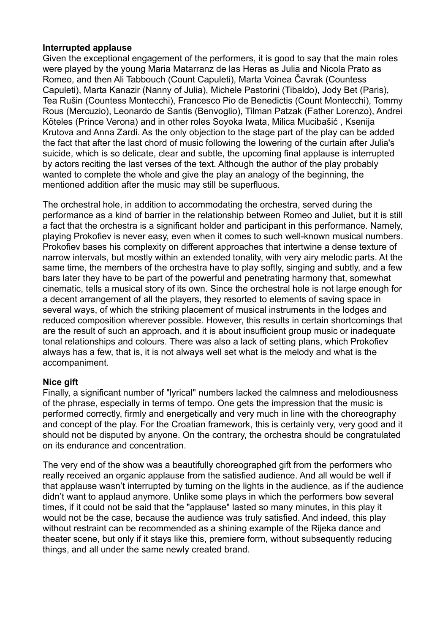# **Interrupted applause**

Given the exceptional engagement of the performers, it is good to say that the main roles were played by the young Maria Matarranz de las Heras as Julia and Nicola Prato as Romeo, and then Ali Tabbouch (Count Capuleti), Marta Voinea Čavrak (Countess Capuleti), Marta Kanazir (Nanny of Julia), Michele Pastorini (Tibaldo), Jody Bet (Paris), Tea Rušin (Countess Montecchi), Francesco Pio de Benedictis (Count Montecchi), Tommy Rous (Mercuzio), Leonardo de Santis (Benvoglio), Tilman Patzak (Father Lorenzo), Andrei Köteles (Prince Verona) and in other roles Soyoka Iwata, Milica Mucibašić , Ksenija Krutova and Anna Zardi. As the only objection to the stage part of the play can be added the fact that after the last chord of music following the lowering of the curtain after Julia's suicide, which is so delicate, clear and subtle, the upcoming final applause is interrupted by actors reciting the last verses of the text. Although the author of the play probably wanted to complete the whole and give the play an analogy of the beginning, the mentioned addition after the music may still be superfluous.

The orchestral hole, in addition to accommodating the orchestra, served during the performance as a kind of barrier in the relationship between Romeo and Juliet, but it is still a fact that the orchestra is a significant holder and participant in this performance. Namely, playing Prokofiev is never easy, even when it comes to such well-known musical numbers. Prokofiev bases his complexity on different approaches that intertwine a dense texture of narrow intervals, but mostly within an extended tonality, with very airy melodic parts. At the same time, the members of the orchestra have to play softly, singing and subtly, and a few bars later they have to be part of the powerful and penetrating harmony that, somewhat cinematic, tells a musical story of its own. Since the orchestral hole is not large enough for a decent arrangement of all the players, they resorted to elements of saving space in several ways, of which the striking placement of musical instruments in the lodges and reduced composition wherever possible. However, this results in certain shortcomings that are the result of such an approach, and it is about insufficient group music or inadequate tonal relationships and colours. There was also a lack of setting plans, which Prokofiev always has a few, that is, it is not always well set what is the melody and what is the accompaniment.

# **Nice gift**

Finally, a significant number of "lyrical" numbers lacked the calmness and melodiousness of the phrase, especially in terms of tempo. One gets the impression that the music is performed correctly, firmly and energetically and very much in line with the choreography and concept of the play. For the Croatian framework, this is certainly very, very good and it should not be disputed by anyone. On the contrary, the orchestra should be congratulated on its endurance and concentration.

The very end of the show was a beautifully choreographed gift from the performers who really received an organic applause from the satisfied audience. And all would be well if that applause wasn't interrupted by turning on the lights in the audience, as if the audience didn't want to applaud anymore. Unlike some plays in which the performers bow several times, if it could not be said that the "applause" lasted so many minutes, in this play it would not be the case, because the audience was truly satisfied. And indeed, this play without restraint can be recommended as a shining example of the Rijeka dance and theater scene, but only if it stays like this, premiere form, without subsequently reducing things, and all under the same newly created brand.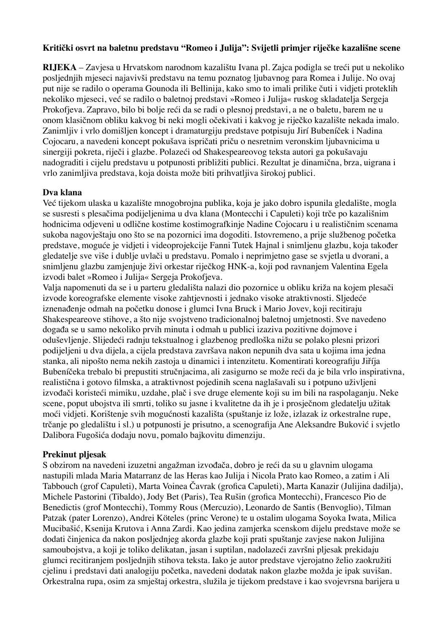### **Kritički osvrt na baletnu predstavu "Romeo i Julija": Svijetli primjer riječke kazališne scene**

**RIJEKA** – Zavjesa u Hrvatskom narodnom kazalištu Ivana pl. Zajca podigla se treći put u nekoliko posljednjih mjeseci najavivši predstavu na temu poznatog ljubavnog para Romea i Julije. No ovaj put nije se radilo o operama Gounoda ili Bellinija, kako smo to imali prilike čuti i vidjeti proteklih nekoliko mjeseci, već se radilo o baletnoj predstavi »Romeo i Julija« ruskog skladatelja Sergeja Prokofjeva. Zapravo, bilo bi bolje reći da se radi o plesnoj predstavi, a ne o baletu, barem ne u onom klasičnom obliku kakvog bi neki mogli očekivati i kakvog je riječko kazalište nekada imalo. Zanimljiv i vrlo domišljen koncept i dramaturgiju predstave potpisuju Jirí Bubeníček i Nadina Cojocaru, a navedeni koncept pokušava ispričati priču o nesretnim veronskim ljubavnicima u sinergiji pokreta, riječi i glazbe. Polazeći od Shakespeareovog teksta autori ga pokušavaju nadograditi i cijelu predstavu u potpunosti približiti publici. Rezultat je dinamična, brza, uigrana i vrlo zanimljiva predstava, koja doista može biti prihvatljiva širokoj publici.

### **Dva klana**

Već tijekom ulaska u kazalište mnogobrojna publika, koja je jako dobro ispunila gledalište, mogla se susresti s plesačima podijeljenima u dva klana (Montecchi i Capuleti) koji trče po kazališnim hodnicima odjeveni u odlične kostime kostimografkinje Nadine Cojocaru i u realističnim scenama sukoba nagovještaju ono što se na pozornici ima dogoditi. Istovremeno, a prije službenog početka predstave, moguće je vidjeti i videoprojekcije Fanni Tutek Hajnal i snimljenu glazbu, koja također gledatelje sve više i dublje uvlači u predstavu. Pomalo i neprimjetno gase se svjetla u dvorani, a snimljenu glazbu zamjenjuje živi orkestar riječkog HNK-a, koji pod ravnanjem Valentina Egela izvodi balet »Romeo i Julija« Sergeja Prokofjeva.

Valja napomenuti da se i u parteru gledališta nalazi dio pozornice u obliku križa na kojem plesači izvode koreografske elemente visoke zahtjevnosti i jednako visoke atraktivnosti. Sljedeće iznenađenje odmah na početku donose i glumci Ivna Bruck i Mario Jovev, koji recitiraju Shakespeareove stihove, a što nije svojstveno tradicionalnoj baletnoj umjetnosti. Sve navedeno događa se u samo nekoliko prvih minuta i odmah u publici izaziva pozitivne dojmove i oduševljenje. Slijedeći radnju tekstualnog i glazbenog predloška nižu se polako plesni prizori podijeljeni u dva dijela, a cijela predstava završava nakon nepunih dva sata u kojima ima jedna stanka, ali nipošto nema nekih zastoja u dinamici i intenzitetu. Komentirati koreografiju Jiříja Bubeníčeka trebalo bi prepustiti stručnjacima, ali zasigurno se može reći da je bila vrlo inspirativna, realistična i gotovo filmska, a atraktivnost pojedinih scena naglašavali su i potpuno uživljeni izvođači koristeći mimiku, uzdahe, plač i sve druge elemente koji su im bili na raspolaganju. Neke scene, poput ubojstva ili smrti, toliko su jasne i kvalitetne da ih je i prosječnom gledatelju užitak moći vidjeti. Korištenje svih mogućnosti kazališta (spuštanje iz lože, izlazak iz orkestralne rupe, trčanje po gledalištu i sl.) u potpunosti je prisutno, a scenografija Ane Aleksandre Buković i svjetlo Dalibora Fugošića dodaju novu, pomalo bajkovitu dimenziju.

#### **Prekinut pljesak**

S obzirom na navedeni izuzetni angažman izvođača, dobro je reći da su u glavnim ulogama nastupili mlada Maria Matarranz de las Heras kao Julija i Nicola Prato kao Romeo, a zatim i Ali Tabbouch (grof Capuleti), Marta Voinea Čavrak (grofica Capuleti), Marta Kanazir (Julijina dadilja), Michele Pastorini (Tibaldo), Jody Bet (Paris), Tea Rušin (grofica Montecchi), Francesco Pio de Benedictis (grof Montecchi), Tommy Rous (Mercuzio), Leonardo de Santis (Benvoglio), Tilman Patzak (pater Lorenzo), Andrei Köteles (princ Verone) te u ostalim ulogama Soyoka Iwata, Milica Mucibašić, Ksenija Krutova i Anna Zardi. Kao jedina zamjerka scenskom dijelu predstave može se dodati činjenica da nakon posljednjeg akorda glazbe koji prati spuštanje zavjese nakon Julijina samoubojstva, a koji je toliko delikatan, jasan i suptilan, nadolazeći završni pljesak prekidaju glumci recitiranjem posljednjih stihova teksta. Iako je autor predstave vjerojatno želio zaokružiti cjelinu i predstavi dati analogiju početka, navedeni dodatak nakon glazbe možda je ipak suvišan. Orkestralna rupa, osim za smještaj orkestra, služila je tijekom predstave i kao svojevrsna barijera u